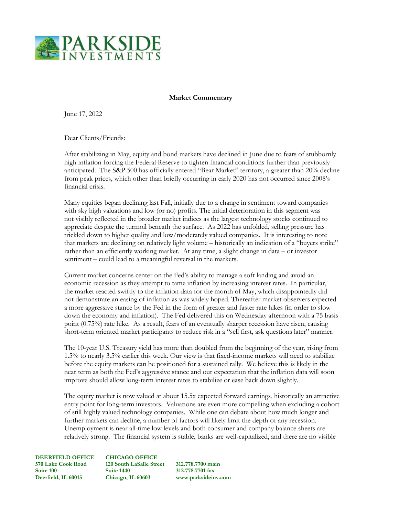

## **Market Commentary**

June 17, 2022

Dear Clients/Friends:

After stabilizing in May, equity and bond markets have declined in June due to fears of stubbornly high inflation forcing the Federal Reserve to tighten financial conditions further than previously anticipated. The S&P 500 has officially entered "Bear Market" territory, a greater than 20% decline from peak prices, which other than briefly occurring in early 2020 has not occurred since 2008's financial crisis.

Many equities began declining last Fall, initially due to a change in sentiment toward companies with sky high valuations and low (or no) profits. The initial deterioration in this segment was not visibly reflected in the broader market indices as the largest technology stocks continued to appreciate despite the turmoil beneath the surface. As 2022 has unfolded, selling pressure has trickled down to higher quality and low/moderately valued companies. It is interesting to note that markets are declining on relatively light volume – historically an indication of a "buyers strike" rather than an efficiently working market. At any time, a slight change in data – or investor sentiment – could lead to a meaningful reversal in the markets.

Current market concerns center on the Fed's ability to manage a soft landing and avoid an economic recession as they attempt to tame inflation by increasing interest rates. In particular, the market reacted swiftly to the inflation data for the month of May, which disappointedly did not demonstrate an easing of inflation as was widely hoped. Thereafter market observers expected a more aggressive stance by the Fed in the form of greater and faster rate hikes (in order to slow down the economy and inflation). The Fed delivered this on Wednesday afternoon with a 75 basis point (0.75%) rate hike. As a result, fears of an eventually sharper recession have risen, causing short-term oriented market participants to reduce risk in a "sell first, ask questions later" manner.

The 10-year U.S. Treasury yield has more than doubled from the beginning of the year, rising from 1.5% to nearly 3.5% earlier this week. Our view is that fixed-income markets will need to stabilize before the equity markets can be positioned for a sustained rally. We believe this is likely in the near term as both the Fed's aggressive stance and our expectation that the inflation data will soon improve should allow long-term interest rates to stabilize or ease back down slightly.

The equity market is now valued at about 15.5x expected forward earnings, historically an attractive entry point for long-term investors. Valuations are even more compelling when excluding a cohort of still highly valued technology companies. While one can debate about how much longer and further markets can decline, a number of factors will likely limit the depth of any recession. Unemployment is near all-time low levels and both consumer and company balance sheets are relatively strong. The financial system is stable, banks are well-capitalized, and there are no visible

**570 Lake Cook Road 120 South LaSalle Street 312.778.7700 main Deerfield, IL 60015 Chicago, IL 60603 www.parksideinv.com**

**DEERFIELD OFFICE CHICAGO OFFICE Suite 100 Suite 1440 312.778.7701 fax**